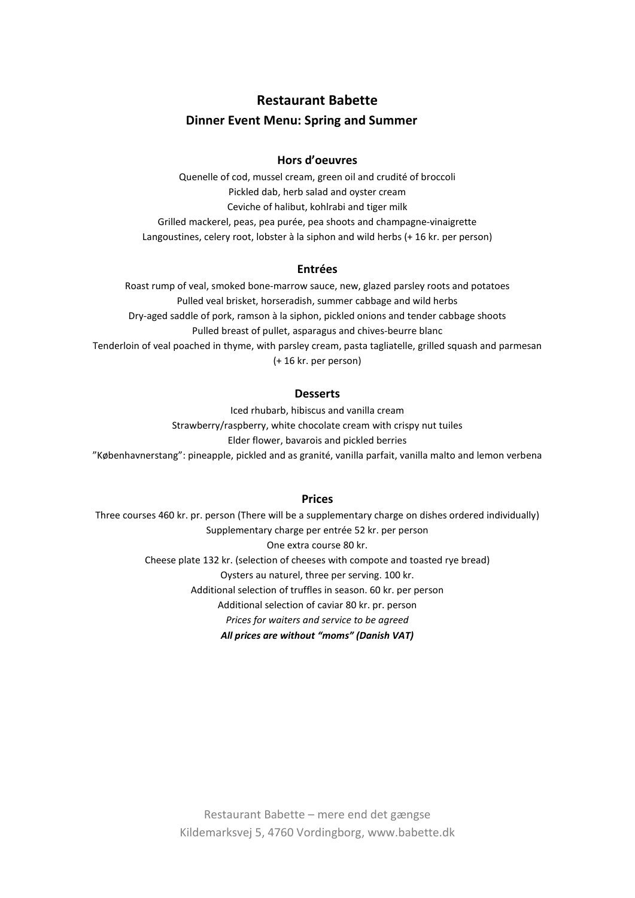# **Restaurant Babette**

# **Dinner Event Menu: Spring and Summer**

## **Hors d'oeuvres**

Quenelle of cod, mussel cream, green oil and crudité of broccoli Pickled dab, herb salad and oyster cream Ceviche of halibut, kohlrabi and tiger milk Grilled mackerel, peas, pea purée, pea shoots and champagne-vinaigrette Langoustines, celery root, lobster à la siphon and wild herbs (+ 16 kr. per person)

### **Entrées**

Roast rump of veal, smoked bone-marrow sauce, new, glazed parsley roots and potatoes Pulled veal brisket, horseradish, summer cabbage and wild herbs Dry-aged saddle of pork, ramson à la siphon, pickled onions and tender cabbage shoots Pulled breast of pullet, asparagus and chives-beurre blanc Tenderloin of veal poached in thyme, with parsley cream, pasta tagliatelle, grilled squash and parmesan (+ 16 kr. per person)

### **Desserts**

Iced rhubarb, hibiscus and vanilla cream Strawberry/raspberry, white chocolate cream with crispy nut tuiles Elder flower, bavarois and pickled berries "Københavnerstang": pineapple, pickled and as granité, vanilla parfait, vanilla malto and lemon verbena

### **Prices**

Three courses 460 kr. pr. person (There will be a supplementary charge on dishes ordered individually) Supplementary charge per entrée 52 kr. per person One extra course 80 kr. Cheese plate 132 kr. (selection of cheeses with compote and toasted rye bread) Oysters au naturel, three per serving. 100 kr. Additional selection of truffles in season. 60 kr. per person Additional selection of caviar 80 kr. pr. person *Prices for waiters and service to be agreed All prices are without "moms" (Danish VAT)*

> Restaurant Babette – mere end det gængse Kildemarksvej 5, 4760 Vordingborg, www.babette.dk